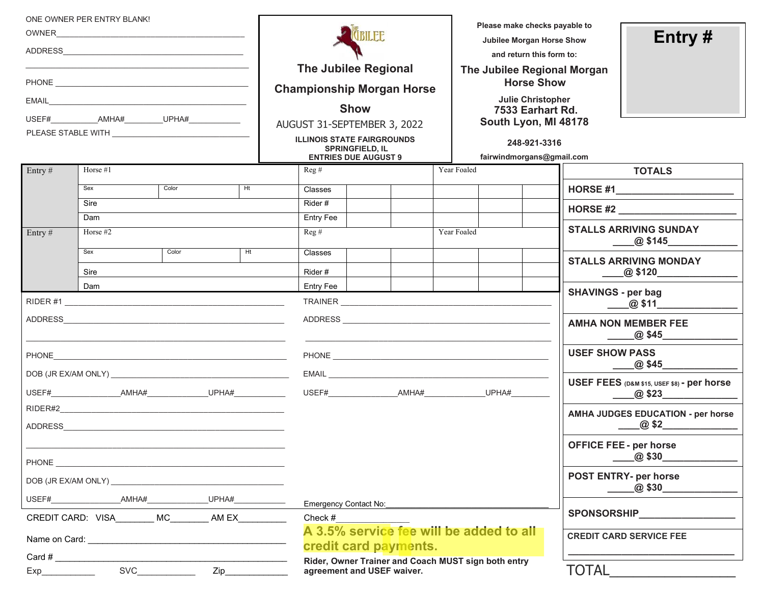|                                             | ONE OWNER PER ENTRY BLANK! |       |    |                                                                  |                                                       |                                                     |             | Please make checks payable to                           |                       |                                            |                                                                            |  |
|---------------------------------------------|----------------------------|-------|----|------------------------------------------------------------------|-------------------------------------------------------|-----------------------------------------------------|-------------|---------------------------------------------------------|-----------------------|--------------------------------------------|----------------------------------------------------------------------------|--|
| OWNER <b>OWNER</b>                          |                            |       |    | <b>CBILEE</b>                                                    |                                                       |                                                     |             | Jubilee Morgan Horse Show                               |                       |                                            | Entry $#$                                                                  |  |
|                                             |                            |       |    | <b>The Jubilee Regional</b>                                      |                                                       |                                                     |             | and return this form to:<br>The Jubilee Regional Morgan |                       |                                            |                                                                            |  |
|                                             |                            |       |    |                                                                  |                                                       |                                                     |             | <b>Horse Show</b>                                       |                       |                                            |                                                                            |  |
|                                             |                            |       |    | <b>Championship Morgan Horse</b>                                 |                                                       |                                                     |             | <b>Julie Christopher</b>                                |                       |                                            |                                                                            |  |
|                                             |                            |       |    | <b>Show</b><br>7533 Earhart Rd.<br>South Lyon, MI 48178          |                                                       |                                                     |             |                                                         |                       |                                            |                                                                            |  |
|                                             |                            |       |    | AUGUST 31-SEPTEMBER 3, 2022<br><b>ILLINOIS STATE FAIRGROUNDS</b> |                                                       |                                                     |             |                                                         |                       |                                            |                                                                            |  |
|                                             |                            |       |    |                                                                  | <b>SPRINGFIELD, IL</b><br><b>ENTRIES DUE AUGUST 9</b> |                                                     |             | fairwindmorgans@gmail.com                               | 248-921-3316          |                                            |                                                                            |  |
| Entry#                                      | Horse $#1$                 |       |    | Reg#                                                             |                                                       |                                                     | Year Foaled |                                                         |                       |                                            | <b>TOTALS</b>                                                              |  |
|                                             | Sex                        | Color | Ht | <b>Classes</b>                                                   |                                                       |                                                     |             |                                                         |                       |                                            |                                                                            |  |
|                                             | Sire                       |       |    | Rider#                                                           |                                                       |                                                     |             |                                                         |                       |                                            | HORSE $#2$                                                                 |  |
| Entry $#$                                   | Dam<br>Horse $#2$          |       |    | Entry Fee<br>Reg#                                                |                                                       |                                                     | Year Foaled |                                                         |                       |                                            | <b>STALLS ARRIVING SUNDAY</b>                                              |  |
|                                             |                            |       |    |                                                                  |                                                       |                                                     |             |                                                         |                       |                                            | _@ \$145_______                                                            |  |
|                                             | Sex                        | Color | H  | Classes                                                          |                                                       |                                                     |             |                                                         |                       |                                            | <b>STALLS ARRIVING MONDAY</b>                                              |  |
|                                             | Sire                       |       |    | Rider#                                                           |                                                       |                                                     |             |                                                         |                       |                                            | $\begin{array}{c}\n\ldots \quad \textcircled{0} \text{ $4120} \end{array}$ |  |
| Dam                                         |                            |       |    | Entry Fee                                                        |                                                       |                                                     |             |                                                         |                       | <b>SHAVINGS - per bag</b>                  |                                                                            |  |
|                                             |                            |       |    |                                                                  |                                                       |                                                     |             |                                                         |                       | $\frac{20.511}{20}$ \$11                   |                                                                            |  |
|                                             |                            |       |    |                                                                  |                                                       |                                                     |             |                                                         |                       |                                            | <b>AMHA NON MEMBER FEE</b>                                                 |  |
|                                             |                            |       |    |                                                                  |                                                       |                                                     |             |                                                         | <b>USEF SHOW PASS</b> | _@ \$45_                                   |                                                                            |  |
|                                             |                            |       |    |                                                                  |                                                       |                                                     |             |                                                         |                       | USEF FEES (D&M \$15, USEF \$8) - per horse |                                                                            |  |
|                                             |                            |       |    | USEF# AMHA# UPHA#                                                |                                                       |                                                     |             |                                                         |                       | $\omega$ \$23                              |                                                                            |  |
|                                             |                            |       |    |                                                                  |                                                       |                                                     |             |                                                         |                       |                                            | AMHA JUDGES EDUCATION - per horse<br>$\omega$ \$2                          |  |
|                                             |                            |       |    |                                                                  |                                                       |                                                     |             |                                                         |                       |                                            | <b>OFFICE FEE - per horse</b><br>@\$30_                                    |  |
|                                             |                            |       |    |                                                                  |                                                       |                                                     |             |                                                         |                       |                                            | <b>POST ENTRY- per horse</b><br>_@ \$30__                                  |  |
|                                             |                            | UPHA# |    |                                                                  | Emergency Contact No:                                 |                                                     |             |                                                         |                       |                                            |                                                                            |  |
| CREDIT CARD: VISA MC_________ AM EX________ |                            |       |    | Check #                                                          |                                                       |                                                     |             |                                                         |                       | <b>SPONSORSHIP</b>                         |                                                                            |  |
|                                             |                            |       |    | A 3.5% service fee will be added to all<br>credit card payments. |                                                       |                                                     |             |                                                         |                       | <b>CREDIT CARD SERVICE FEE</b>             |                                                                            |  |
|                                             | Card $#$                   |       |    |                                                                  |                                                       | Rider, Owner Trainer and Coach MUST sign both entry |             |                                                         |                       |                                            |                                                                            |  |
|                                             |                            |       |    | agreement and USEF waiver.                                       |                                                       |                                                     |             |                                                         | TOTAL                 |                                            |                                                                            |  |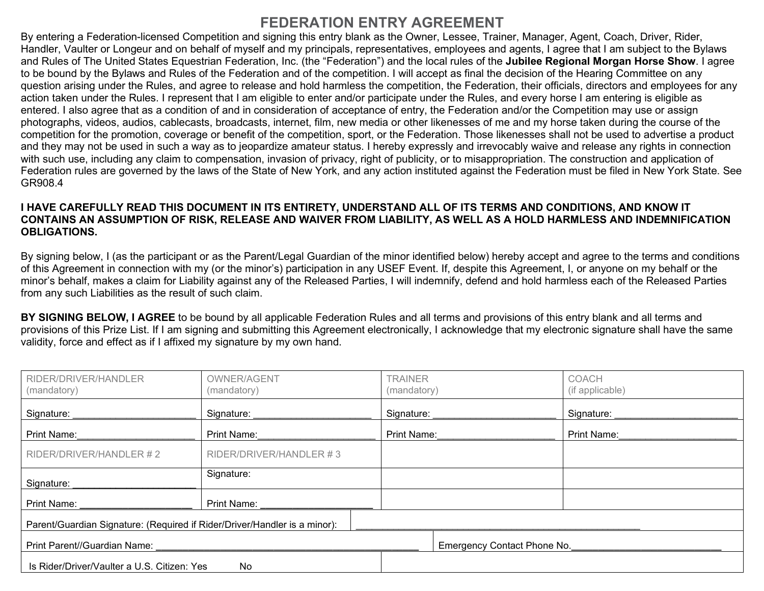# **FEDERATION ENTRY AGREEMENT**

By entering a Federation-licensed Competition and signing this entry blank as the Owner, Lessee, Trainer, Manager, Agent, Coach, Driver, Rider, Handler, Vaulter or Longeur and on behalf of myself and my principals, representatives, employees and agents, I agree that I am subject to the Bylaws and Rules of The United States Equestrian Federation, Inc. (the "Federation") and the local rules of the **Jubilee Regional Morgan Horse Show**. I agree to be bound by the Bylaws and Rules of the Federation and of the competition. I will accept as final the decision of the Hearing Committee on any question arising under the Rules, and agree to release and hold harmless the competition, the Federation, their officials, directors and employees for any action taken under the Rules. I represent that I am eligible to enter and/or participate under the Rules, and every horse I am entering is eligible as entered. I also agree that as a condition of and in consideration of acceptance of entry, the Federation and/or the Competition may use or assign photographs, videos, audios, cablecasts, broadcasts, internet, film, new media or other likenesses of me and my horse taken during the course of the competition for the promotion, coverage or benefit of the competition, sport, or the Federation. Those likenesses shall not be used to advertise a product and they may not be used in such a way as to jeopardize amateur status. I hereby expressly and irrevocably waive and release any rights in connection with such use, including any claim to compensation, invasion of privacy, right of publicity, or to misappropriation. The construction and application of Federation rules are governed by the laws of the State of New York, and any action instituted against the Federation must be filed in New York State. See GR908.4

## **I HAVE CAREFULLY READ THIS DOCUMENT IN ITS ENTIRETY, UNDERSTAND ALL OF ITS TERMS AND CONDITIONS, AND KNOW IT CONTAINS AN ASSUMPTION OF RISK, RELEASE AND WAIVER FROM LIABILITY, AS WELL AS A HOLD HARMLESS AND INDEMNIFICATION OBLIGATIONS.**

By signing below, I (as the participant or as the Parent/Legal Guardian of the minor identified below) hereby accept and agree to the terms and conditions of this Agreement in connection with my (or the minor's) participation in any USEF Event. If, despite this Agreement, I, or anyone on my behalf or the minor's behalf, makes a claim for Liability against any of the Released Parties, I will indemnify, defend and hold harmless each of the Released Parties from any such Liabilities as the result of such claim.

**BY SIGNING BELOW, I AGREE** to be bound by all applicable Federation Rules and all terms and provisions of this entry blank and all terms and provisions of this Prize List. If I am signing and submitting this Agreement electronically, I acknowledge that my electronic signature shall have the same validity, force and effect as if I affixed my signature by my own hand.

| RIDER/DRIVER/HANDLER<br>(mandatory)                                       | OWNER/AGENT<br>(mandatory) | <b>TRAINER</b><br>(mandatory) | COACH<br>(if applicable)    |  |  |  |  |  |
|---------------------------------------------------------------------------|----------------------------|-------------------------------|-----------------------------|--|--|--|--|--|
| Signature:                                                                | Signature:                 | Signature:                    | Signature:                  |  |  |  |  |  |
| Print Name:                                                               | Print Name:                | Print Name:                   | Print Name:                 |  |  |  |  |  |
| RIDER/DRIVER/HANDLER #2                                                   | RIDER/DRIVER/HANDLER #3    |                               |                             |  |  |  |  |  |
| Signature:                                                                | Signature:                 |                               |                             |  |  |  |  |  |
| Print Name:                                                               | Print Name:                |                               |                             |  |  |  |  |  |
| Parent/Guardian Signature: (Required if Rider/Driver/Handler is a minor): |                            |                               |                             |  |  |  |  |  |
| Print Parent//Guardian Name:                                              |                            |                               | Emergency Contact Phone No. |  |  |  |  |  |
| Is Rider/Driver/Vaulter a U.S. Citizen: Yes                               | No                         |                               |                             |  |  |  |  |  |